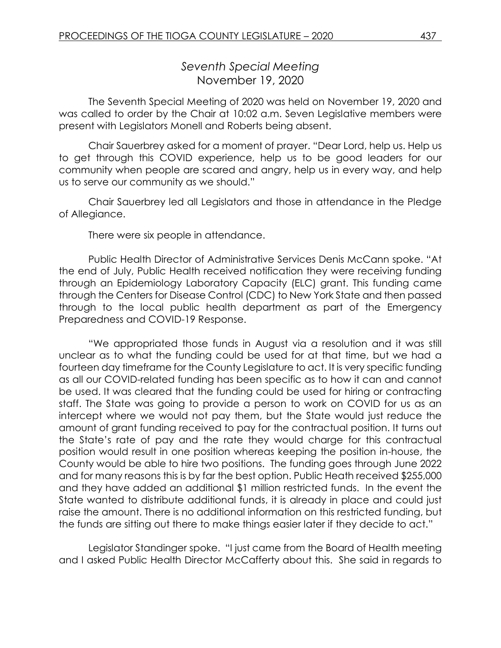## *Seventh Special Meeting* November 19, 2020

The Seventh Special Meeting of 2020 was held on November 19, 2020 and was called to order by the Chair at 10:02 a.m. Seven Legislative members were present with Legislators Monell and Roberts being absent.

Chair Sauerbrey asked for a moment of prayer. "Dear Lord, help us. Help us to get through this COVID experience, help us to be good leaders for our community when people are scared and angry, help us in every way, and help us to serve our community as we should."

Chair Sauerbrey led all Legislators and those in attendance in the Pledge of Allegiance.

There were six people in attendance.

Public Health Director of Administrative Services Denis McCann spoke. "At the end of July, Public Health received notification they were receiving funding through an Epidemiology Laboratory Capacity (ELC) grant. This funding came through the Centers for Disease Control (CDC) to New York State and then passed through to the local public health department as part of the Emergency Preparedness and COVID-19 Response.

"We appropriated those funds in August via a resolution and it was still unclear as to what the funding could be used for at that time, but we had a fourteen day timeframe for the County Legislature to act. It is very specific funding as all our COVID-related funding has been specific as to how it can and cannot be used. It was cleared that the funding could be used for hiring or contracting staff. The State was going to provide a person to work on COVID for us as an intercept where we would not pay them, but the State would just reduce the amount of grant funding received to pay for the contractual position. It turns out the State's rate of pay and the rate they would charge for this contractual position would result in one position whereas keeping the position in-house, the County would be able to hire two positions. The funding goes through June 2022 and for many reasons this is by far the best option. Public Heath received \$255,000 and they have added an additional \$1 million restricted funds. In the event the State wanted to distribute additional funds, it is already in place and could just raise the amount. There is no additional information on this restricted funding, but the funds are sitting out there to make things easier later if they decide to act."

Legislator Standinger spoke. "I just came from the Board of Health meeting and I asked Public Health Director McCafferty about this. She said in regards to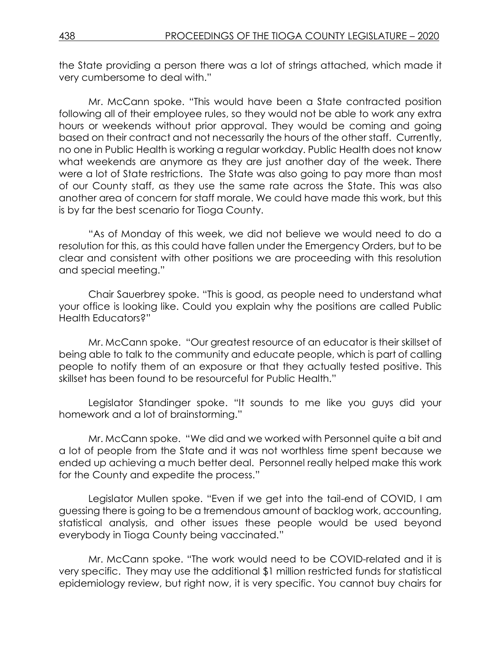the State providing a person there was a lot of strings attached, which made it very cumbersome to deal with."

Mr. McCann spoke. "This would have been a State contracted position following all of their employee rules, so they would not be able to work any extra hours or weekends without prior approval. They would be coming and going based on their contract and not necessarily the hours of the other staff. Currently, no one in Public Health is working a regular workday. Public Health does not know what weekends are anymore as they are just another day of the week. There were a lot of State restrictions. The State was also going to pay more than most of our County staff, as they use the same rate across the State. This was also another area of concern for staff morale. We could have made this work, but this is by far the best scenario for Tioga County.

"As of Monday of this week, we did not believe we would need to do a resolution for this, as this could have fallen under the Emergency Orders, but to be clear and consistent with other positions we are proceeding with this resolution and special meeting."

Chair Sauerbrey spoke. "This is good, as people need to understand what your office is looking like. Could you explain why the positions are called Public Health Educators?"

Mr. McCann spoke. "Our greatest resource of an educator is their skillset of being able to talk to the community and educate people, which is part of calling people to notify them of an exposure or that they actually tested positive. This skillset has been found to be resourceful for Public Health."

Legislator Standinger spoke. "It sounds to me like you guys did your homework and a lot of brainstorming."

Mr. McCann spoke. "We did and we worked with Personnel quite a bit and a lot of people from the State and it was not worthless time spent because we ended up achieving a much better deal. Personnel really helped make this work for the County and expedite the process."

Legislator Mullen spoke. "Even if we get into the tail-end of COVID, I am guessing there is going to be a tremendous amount of backlog work, accounting, statistical analysis, and other issues these people would be used beyond everybody in Tioga County being vaccinated."

Mr. McCann spoke. "The work would need to be COVID-related and it is very specific. They may use the additional \$1 million restricted funds for statistical epidemiology review, but right now, it is very specific. You cannot buy chairs for